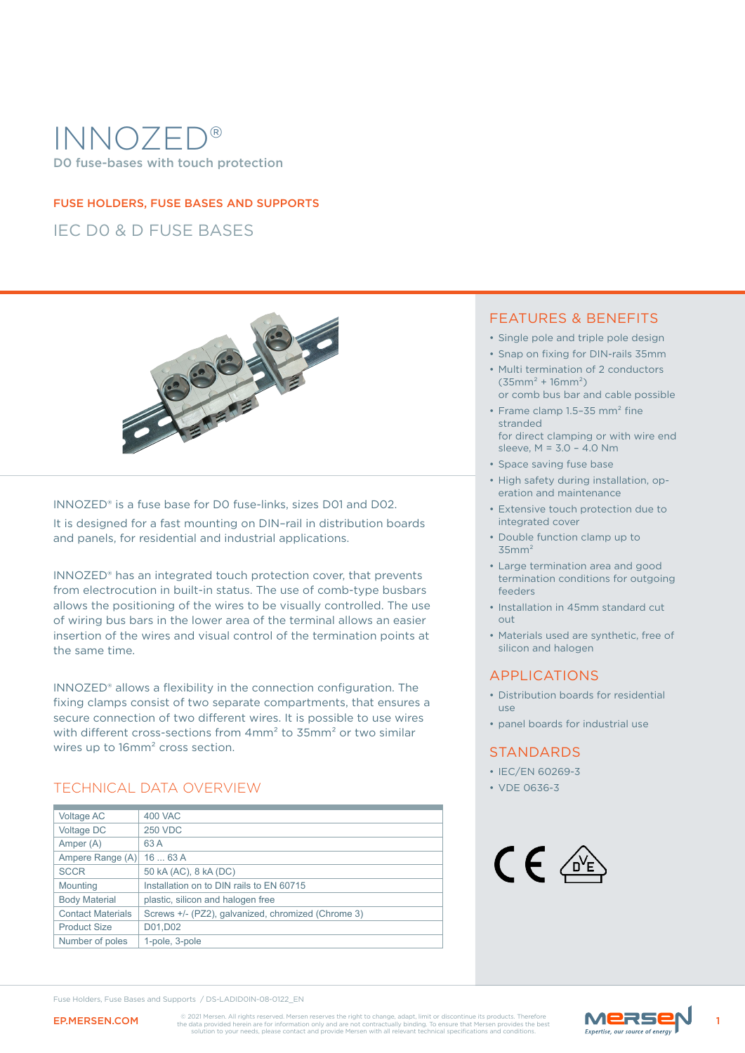# INNOZED D0 fuse-bases with touch protection

#### FUSE HOLDERS, FUSE BASES AND SUPPORTS

IEC D0 & D FUSE BASES



#### INNOZED® is a fuse base for D0 fuse-links, sizes D01 and D02.

It is designed for a fast mounting on DIN–rail in distribution boards and panels, for residential and industrial applications.

INNOZED® has an integrated touch protection cover, that prevents from electrocution in built-in status. The use of comb-type busbars allows the positioning of the wires to be visually controlled. The use of wiring bus bars in the lower area of the terminal allows an easier insertion of the wires and visual control of the termination points at the same time.

INNOZED® allows a flexibility in the connection configuration. The fixing clamps consist of two separate compartments, that ensures a secure connection of two different wires. It is possible to use wires with different cross-sections from 4mm² to 35mm² or two similar wires up to 16mm² cross section.

### TECHNICAL DATA OVERVIEW • VDE 0636-3

| Voltage AC               | 400 VAC                                            |
|--------------------------|----------------------------------------------------|
| Voltage DC               | <b>250 VDC</b>                                     |
| Amper (A)                | 63 A                                               |
| Ampere Range (A)         | 1663A                                              |
| <b>SCCR</b>              | 50 kA (AC), 8 kA (DC)                              |
| Mounting                 | Installation on to DIN rails to EN 60715           |
| <b>Body Material</b>     | plastic, silicon and halogen free                  |
| <b>Contact Materials</b> | Screws +/- (PZ2), galvanized, chromized (Chrome 3) |
| <b>Product Size</b>      | D01.D02                                            |
| Number of poles          | 1-pole, 3-pole                                     |
|                          |                                                    |

#### FEATURES & BENEFITS

- Single pole and triple pole design
- Snap on fixing for DIN-rails 35mm
- Multi termination of 2 conductors  $(35mm<sup>2</sup> + 16mm<sup>2</sup>)$
- or comb bus bar and cable possible • Frame clamp 1.5–35 mm² fine stranded
- for direct clamping or with wire end sleeve, M = 3.0 – 4.0 Nm
- Space saving fuse base
- High safety during installation, operation and maintenance
- Extensive touch protection due to integrated cover
- Double function clamp up to  $35mm<sup>2</sup>$
- Large termination area and good termination conditions for outgoing feeders
- Installation in 45mm standard cut out
- Materials used are synthetic, free of silicon and halogen

### APPLICATIONS

- Distribution boards for residential use
- panel boards for industrial use

#### **STANDARDS**

- IEC/EN 60269-3
- 



EP.MERSEN.COM CO201 Mersen. All rights reserved. Mersen reserves the right to change, adapt, limit or discontinue its products. Therefore Marshall and the data provided herein are for information only and are not contractu

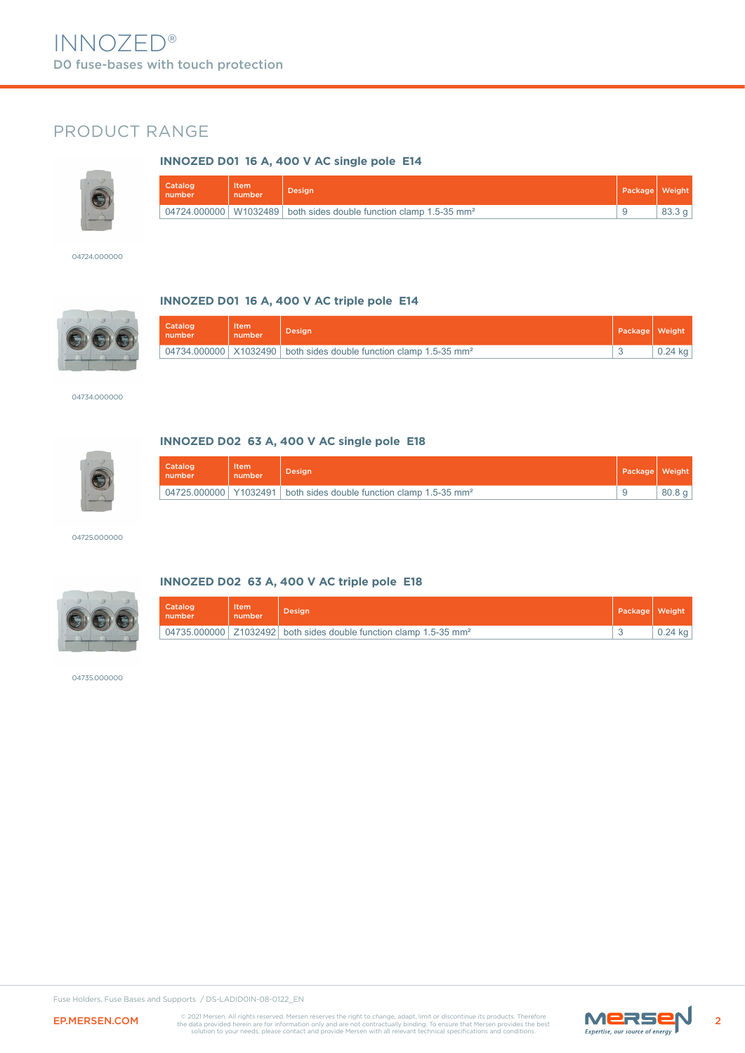### PRODUCT RANGE

#### **INNOZED D01 16 A, 400 V AC single pole E14**



| <b>Catalogy</b><br>number | Item<br>number | Desian'                                                                                   | Package Weight |                   |
|---------------------------|----------------|-------------------------------------------------------------------------------------------|----------------|-------------------|
|                           |                | $\vert$ 04724.000000   W1032489   both sides double function clamp 1.5-35 mm <sup>2</sup> |                | 83.3 <sub>q</sub> |

04724.000000



#### **INNOZED D01 16 A, 400 V AC triple pole E14**

| Catalog<br>number | <b>Item</b><br>number | Desian                                                                              | Package | Weight <sup>1</sup> |
|-------------------|-----------------------|-------------------------------------------------------------------------------------|---------|---------------------|
|                   |                       | 04734.000000   $X1032490$   both sides double function clamp 1.5-35 mm <sup>2</sup> |         | $0.24$ kg           |

04734.000000



#### **INNOZED D02 63 A, 400 V AC single pole E18**

| Catalog<br>number       | Item<br>number | Desian                                                  | Package   Weight |       |
|-------------------------|----------------|---------------------------------------------------------|------------------|-------|
| 04725.000000   Y1032491 |                | both sides double function clamp 1.5-35 mm <sup>2</sup> |                  | 80.8q |

04725.000000



#### **INNOZED D02 63 A, 400 V AC triple pole E18**

| Catalog<br>number | <b>Item</b><br>number | <b>Design</b>                                                                     | Package Weight |           |
|-------------------|-----------------------|-----------------------------------------------------------------------------------|----------------|-----------|
|                   |                       | $0.04735.000000$ Z1032492 both sides double function clamp 1.5-35 mm <sup>2</sup> |                | $0.24$ kg |

04735.000000

Fuse Holders, Fuse Bases and Supports / DS-LADID0IN-08-0122\_EN



EP.MERSEN.COM CO2021 Mersen, All rights reserved. Mersen reserves the right to change, adapt, limit or discontinue its products. Therefore Marshall and the data provided herein are for information only and are not contract

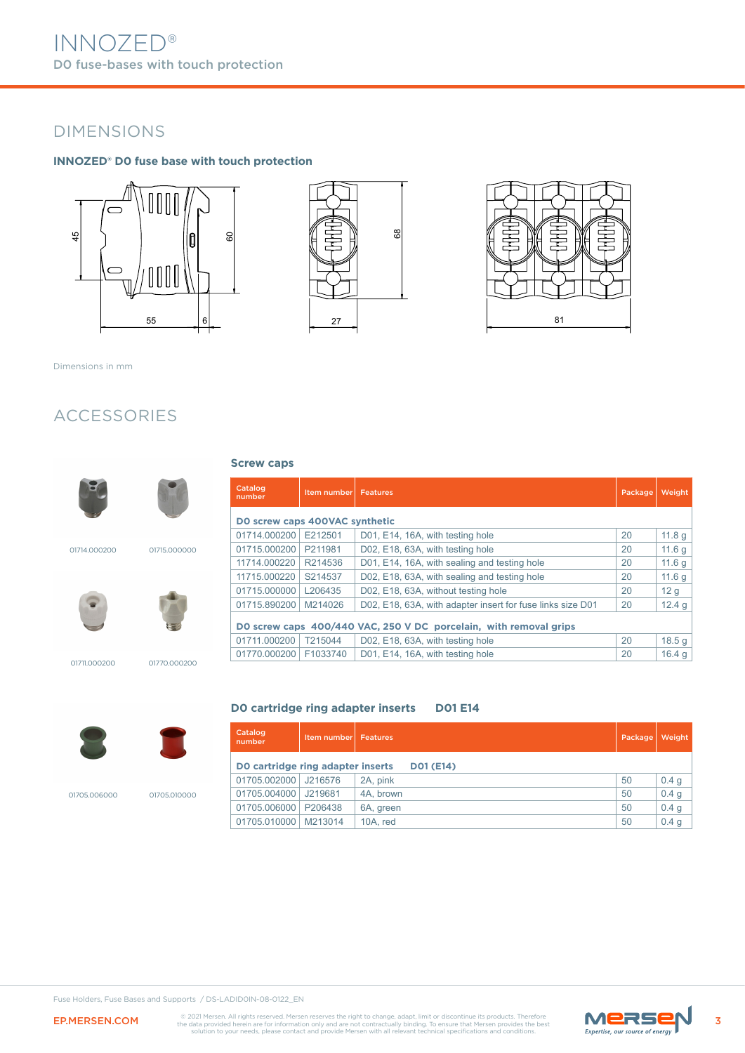# DIMENSIONS

#### **INNOZED® D0 fuse base with touch protection**







Dimensions in mm

### ACCESSORIES



#### **Screw caps**

| 01715.0000 |  |
|------------|--|
|            |  |
|            |  |























01711.000200 01770.000200





01705.006000

| 01705.010000 |  |
|--------------|--|

| Catalog<br>number              | Item number | <b>Features</b>                                                   | Package | Weight            |  |  |  |
|--------------------------------|-------------|-------------------------------------------------------------------|---------|-------------------|--|--|--|
| DO screw caps 400VAC synthetic |             |                                                                   |         |                   |  |  |  |
| 01714.000200                   | E212501     | D01, E14, 16A, with testing hole                                  | 20      | 11.8 <sub>q</sub> |  |  |  |
| 01715.000200                   | P211981     | D02, E18, 63A, with testing hole                                  | 20      | 11.6q             |  |  |  |
| 11714.000220                   | R214536     | D01, E14, 16A, with sealing and testing hole                      | 20      | 11.6q             |  |  |  |
| 11715.000220                   | S214537     | D02, E18, 63A, with sealing and testing hole                      | 20      | 11.6q             |  |  |  |
| 01715.000000                   | L206435     | D02, E18, 63A, without testing hole                               | 20      | 12 <sub>g</sub>   |  |  |  |
| 01715.890200                   | M214026     | D02, E18, 63A, with adapter insert for fuse links size D01        | 20      | 12.4 <sub>q</sub> |  |  |  |
|                                |             | DO screw caps 400/440 VAC, 250 V DC porcelain, with removal grips |         |                   |  |  |  |
| 01711.000200                   | T215044     | D02, E18, 63A, with testing hole                                  | 20      | 18.5 g            |  |  |  |
| 01770.000200                   | F1033740    | D01, E14, 16A, with testing hole                                  | 20      | 16.4 <sub>a</sub> |  |  |  |

#### **D0 cartridge ring adapter inserts D01 E14**

| Catalog<br>number                                     | <b>Item number Features</b> |           | Package | Weight |  |  |
|-------------------------------------------------------|-----------------------------|-----------|---------|--------|--|--|
| DO cartridge ring adapter inserts<br><b>DO1 (E14)</b> |                             |           |         |        |  |  |
| 01705.002000                                          | J216576                     | 2A, pink  | 50      | 0.4 g  |  |  |
| 01705.004000                                          | J219681                     | 4A. brown | 50      | 0.4 g  |  |  |
| 01705.006000   P206438                                |                             | 6A, green | 50      | 0.4 g  |  |  |
| 01705.010000                                          | M213014                     | 10A. red  | 50      | 0.4 g  |  |  |

Fuse Holders, Fuse Bases and Supports / DS-LADID0IN-08-0122\_EN

EP.MERSEN.COM CO2021 Mersen. All rights reserved. Mersen reserves the right to change, adapt, limit or discontinue its products. Therefore Marson **Marson COM** the data provided herein are for information only and are not c